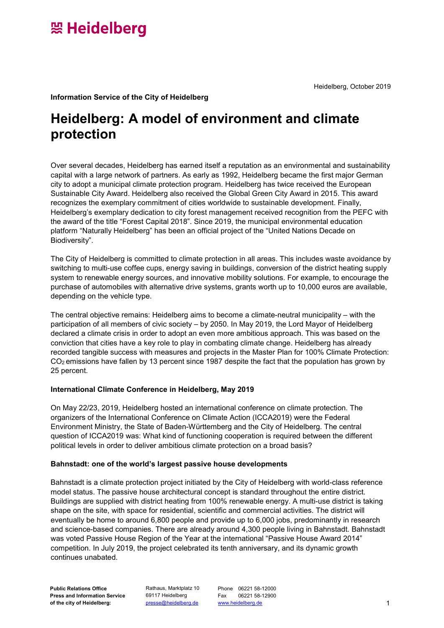Heidelberg, October 2019

**Information Service of the City of Heidelberg**

### **Heidelberg: A model of environment and climate protection**

Over several decades, Heidelberg has earned itself a reputation as an environmental and sustainability capital with a large network of partners. As early as 1992, Heidelberg became the first major German city to adopt a municipal climate protection program. Heidelberg has twice received the European Sustainable City Award. Heidelberg also received the Global Green City Award in 2015. This award recognizes the exemplary commitment of cities worldwide to sustainable development. Finally, Heidelberg's exemplary dedication to city forest management received recognition from the PEFC with the award of the title "Forest Capital 2018". Since 2019, the municipal environmental education platform "Naturally Heidelberg" has been an official project of the "United Nations Decade on Biodiversity".

The City of Heidelberg is committed to climate protection in all areas. This includes waste avoidance by switching to multi-use coffee cups, energy saving in buildings, conversion of the district heating supply system to renewable energy sources, and innovative mobility solutions. For example, to encourage the purchase of automobiles with alternative drive systems, grants worth up to 10,000 euros are available, depending on the vehicle type.

The central objective remains: Heidelberg aims to become a climate-neutral municipality – with the participation of all members of civic society – by 2050. In May 2019, the Lord Mayor of Heidelberg declared a climate crisis in order to adopt an even more ambitious approach. This was based on the conviction that cities have a key role to play in combating climate change. Heidelberg has already recorded tangible success with measures and projects in the Master Plan for 100% Climate Protection: CO2 emissions have fallen by 13 percent since 1987 despite the fact that the population has grown by 25 percent.

### **International Climate Conference in Heidelberg, May 2019**

On May 22/23, 2019, Heidelberg hosted an international conference on climate protection. The organizers of the International Conference on Climate Action (ICCA2019) were the Federal Environment Ministry, the State of Baden-Württemberg and the City of Heidelberg. The central question of ICCA2019 was: What kind of functioning cooperation is required between the different political levels in order to deliver ambitious climate protection on a broad basis?

### **Bahnstadt: one of the world's largest passive house developments**

Bahnstadt is a climate protection project initiated by the City of Heidelberg with world-class reference model status. The passive house architectural concept is standard throughout the entire district. Buildings are supplied with district heating from 100% renewable energy. A multi-use district is taking shape on the site, with space for residential, scientific and commercial activities. The district will eventually be home to around 6,800 people and provide up to 6,000 jobs, predominantly in research and science-based companies. There are already around 4,300 people living in Bahnstadt. Bahnstadt was voted Passive House Region of the Year at the international "Passive House Award 2014" competition. In July 2019, the project celebrated its tenth anniversary, and its dynamic growth continues unabated.

Rathaus, Marktplatz 10 69117 Heidelberg

Phone 06221 58-12000 Fax 06221 58-12900 [www.heidelberg.de](http://www.heidelberg.de/) [presse@heidelberg.de](mailto:presse@heidelberg.de) 1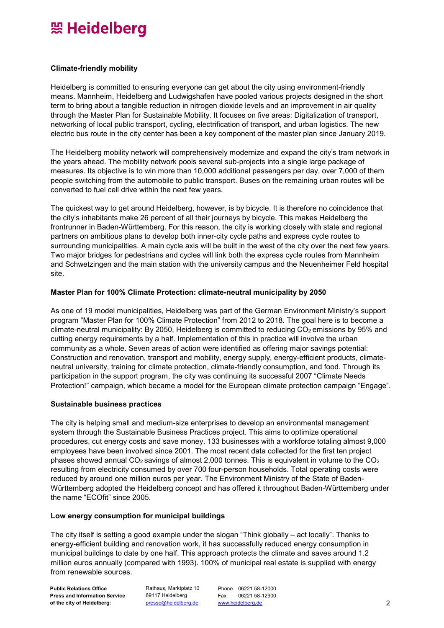## 照 Heidelberg

### **Climate-friendly mobility**

Heidelberg is committed to ensuring everyone can get about the city using environment-friendly means. Mannheim, Heidelberg and Ludwigshafen have pooled various projects designed in the short term to bring about a tangible reduction in nitrogen dioxide levels and an improvement in air quality through the Master Plan for Sustainable Mobility. It focuses on five areas: Digitalization of transport, networking of local public transport, cycling, electrification of transport, and urban logistics. The new electric bus route in the city center has been a key component of the master plan since January 2019.

The Heidelberg mobility network will comprehensively modernize and expand the city's tram network in the years ahead. The mobility network pools several sub-projects into a single large package of measures. Its objective is to win more than 10,000 additional passengers per day, over 7,000 of them people switching from the automobile to public transport. Buses on the remaining urban routes will be converted to fuel cell drive within the next few years.

The quickest way to get around Heidelberg, however, is by bicycle. It is therefore no coincidence that the city's inhabitants make 26 percent of all their journeys by bicycle. This makes Heidelberg the frontrunner in Baden-Württemberg. For this reason, the city is working closely with state and regional partners on ambitious plans to develop both inner-city cycle paths and express cycle routes to surrounding municipalities. A main cycle axis will be built in the west of the city over the next few years. Two major bridges for pedestrians and cycles will link both the express cycle routes from Mannheim and Schwetzingen and the main station with the university campus and the Neuenheimer Feld hospital site.

### **Master Plan for 100% Climate Protection: climate-neutral municipality by 2050**

As one of 19 model municipalities, Heidelberg was part of the German Environment Ministry's support program "Master Plan for 100% Climate Protection" from 2012 to 2018. The goal here is to become a climate-neutral municipality: By 2050, Heidelberg is committed to reducing CO<sub>2</sub> emissions by 95% and cutting energy requirements by a half. Implementation of this in practice will involve the urban community as a whole. Seven areas of action were identified as offering major savings potential: Construction and renovation, transport and mobility, energy supply, energy-efficient products, climateneutral university, training for climate protection, climate-friendly consumption, and food. Through its participation in the support program, the city was continuing its successful 2007 "Climate Needs Protection!" campaign, which became a model for the European climate protection campaign "Engage".

### **Sustainable business practices**

The city is helping small and medium-size enterprises to develop an environmental management system through the Sustainable Business Practices project. This aims to optimize operational procedures, cut energy costs and save money. 133 businesses with a workforce totaling almost 9,000 employees have been involved since 2001. The most recent data collected for the first ten project phases showed annual CO<sub>2</sub> savings of almost 2,000 tonnes. This is equivalent in volume to the CO<sub>2</sub> resulting from electricity consumed by over 700 four-person households. Total operating costs were reduced by around one million euros per year. The Environment Ministry of the State of Baden-Württemberg adopted the Heidelberg concept and has offered it throughout Baden-Württemberg under the name "ECOfit" since 2005.

### **Low energy consumption for municipal buildings**

The city itself is setting a good example under the slogan "Think globally – act locally". Thanks to energy-efficient building and renovation work, it has successfully reduced energy consumption in municipal buildings to date by one half. This approach protects the climate and saves around 1.2 million euros annually (compared with 1993). 100% of municipal real estate is supplied with energy from renewable sources.

**Public Relations Office Press and Information Service of the city of Heidelberg:**

Rathaus, Marktplatz 10 69117 Heidelberg

Phone 06221 58-12000 Fax 06221 58-12900 [www.heidelberg.de](http://www.heidelberg.de/) [presse@heidelberg.de](mailto:presse@heidelberg.de) 2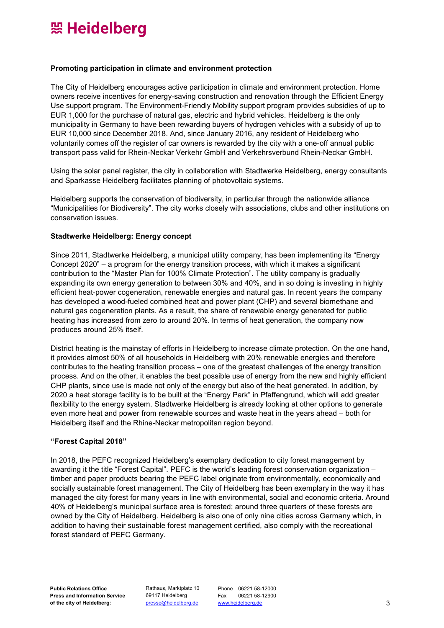# 照 Heidelberg

#### **Promoting participation in climate and environment protection**

The City of Heidelberg encourages active participation in climate and environment protection. Home owners receive incentives for energy-saving construction and renovation through the Efficient Energy Use support program. The Environment-Friendly Mobility support program provides subsidies of up to EUR 1,000 for the purchase of natural gas, electric and hybrid vehicles. Heidelberg is the only municipality in Germany to have been rewarding buyers of hydrogen vehicles with a subsidy of up to EUR 10,000 since December 2018. And, since January 2016, any resident of Heidelberg who voluntarily comes off the register of car owners is rewarded by the city with a one-off annual public transport pass valid for Rhein-Neckar Verkehr GmbH and Verkehrsverbund Rhein-Neckar GmbH.

Using the solar panel register, the city in collaboration with Stadtwerke Heidelberg, energy consultants and Sparkasse Heidelberg facilitates planning of photovoltaic systems.

Heidelberg supports the conservation of biodiversity, in particular through the nationwide alliance "Municipalities for Biodiversity". The city works closely with associations, clubs and other institutions on conservation issues.

#### **Stadtwerke Heidelberg: Energy concept**

Since 2011, Stadtwerke Heidelberg, a municipal utility company, has been implementing its "Energy Concept 2020" – a program for the energy transition process, with which it makes a significant contribution to the "Master Plan for 100% Climate Protection". The utility company is gradually expanding its own energy generation to between 30% and 40%, and in so doing is investing in highly efficient heat-power cogeneration, renewable energies and natural gas. In recent years the company has developed a wood-fueled combined heat and power plant (CHP) and several biomethane and natural gas cogeneration plants. As a result, the share of renewable energy generated for public heating has increased from zero to around 20%. In terms of heat generation, the company now produces around 25% itself.

District heating is the mainstay of efforts in Heidelberg to increase climate protection. On the one hand, it provides almost 50% of all households in Heidelberg with 20% renewable energies and therefore contributes to the heating transition process – one of the greatest challenges of the energy transition process. And on the other, it enables the best possible use of energy from the new and highly efficient CHP plants, since use is made not only of the energy but also of the heat generated. In addition, by 2020 a heat storage facility is to be built at the "Energy Park" in Pfaffengrund, which will add greater flexibility to the energy system. Stadtwerke Heidelberg is already looking at other options to generate even more heat and power from renewable sources and waste heat in the years ahead – both for Heidelberg itself and the Rhine-Neckar metropolitan region beyond.

### **"Forest Capital 2018"**

In 2018, the PEFC recognized Heidelberg's exemplary dedication to city forest management by awarding it the title "Forest Capital". PEFC is the world's leading forest conservation organization – timber and paper products bearing the PEFC label originate from environmentally, economically and socially sustainable forest management. The City of Heidelberg has been exemplary in the way it has managed the city forest for many years in line with environmental, social and economic criteria. Around 40% of Heidelberg's municipal surface area is forested; around three quarters of these forests are owned by the City of Heidelberg. Heidelberg is also one of only nine cities across Germany which, in addition to having their sustainable forest management certified, also comply with the recreational forest standard of PEFC Germany.

Rathaus, Marktplatz 10 69117 Heidelberg

Phone 06221 58-12000 Fax 06221 58-12900 [www.heidelberg.de](http://www.heidelberg.de/) [presse@heidelberg.de](mailto:presse@heidelberg.de) 3